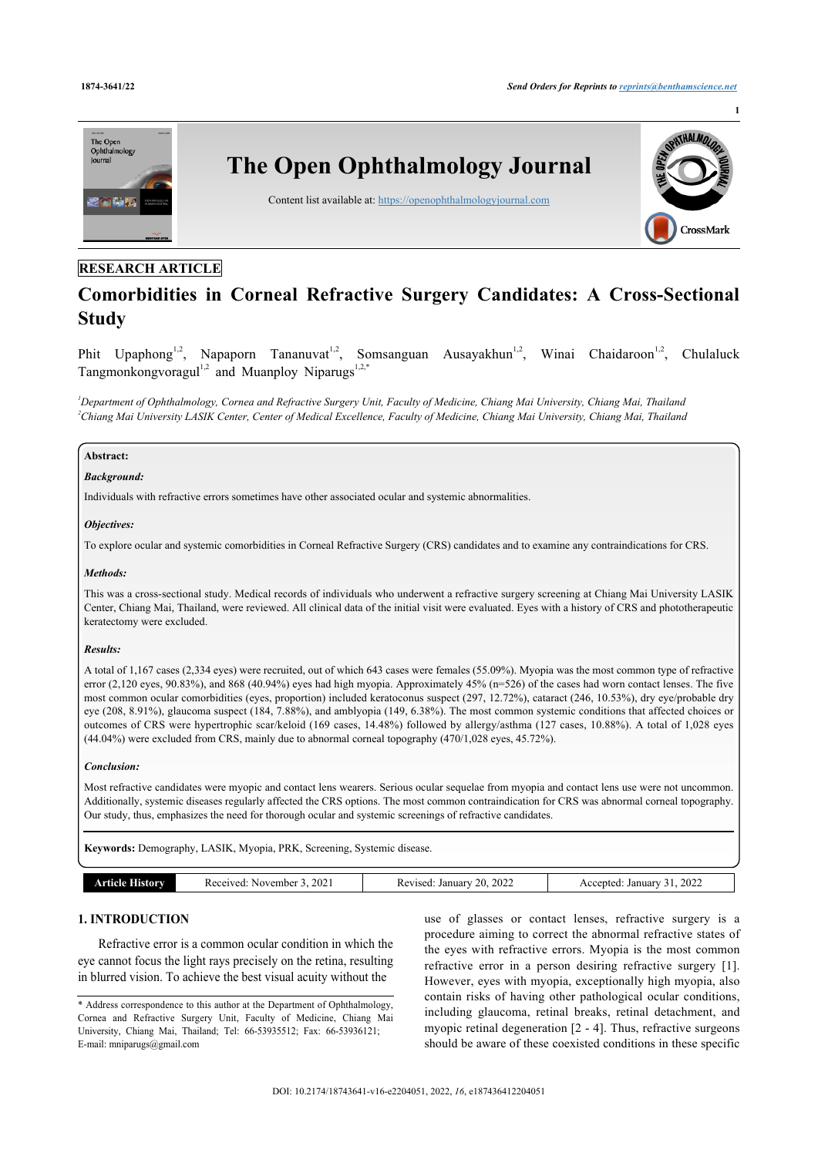

# **RESEARCH ARTICLE**

# **Comorbidities in Corneal Refractive Surgery Candidates: A Cross-Sectional Study**

Phit Upaphong<sup>[1](#page-0-0)[,2](#page-0-1)</sup>, Napaporn Tananuvat<sup>[1,](#page-0-0)[2](#page-0-1)</sup>, Somsanguan Ausayakhun<sup>1,2</sup>, Winai Chaidaroon<sup>1,2</sup> , Chulaluck Tangmonkongvoragul<sup>[1](#page-0-0),[2](#page-0-1)</sup> and Muanploy Niparugs<sup>1[,2](#page-0-1)[,\\*](#page-0-2)</sup>

<span id="page-0-1"></span><span id="page-0-0"></span>*<sup>1</sup>Department of Ophthalmology, Cornea and Refractive Surgery Unit, Faculty of Medicine, Chiang Mai University, Chiang Mai, Thailand <sup>2</sup>Chiang Mai University LASIK Center, Center of Medical Excellence, Faculty of Medicine, Chiang Mai University, Chiang Mai, Thailand*

# **Abstract:**

#### *Background:*

Individuals with refractive errors sometimes have other associated ocular and systemic abnormalities.

### *Objectives:*

To explore ocular and systemic comorbidities in Corneal Refractive Surgery (CRS) candidates and to examine any contraindications for CRS.

### *Methods:*

This was a cross-sectional study. Medical records of individuals who underwent a refractive surgery screening at Chiang Mai University LASIK Center, Chiang Mai, Thailand, were reviewed. All clinical data of the initial visit were evaluated. Eyes with a history of CRS and phototherapeutic keratectomy were excluded.

# *Results:*

A total of 1,167 cases (2,334 eyes) were recruited, out of which 643 cases were females (55.09%). Myopia was the most common type of refractive error (2,120 eyes, 90.83%), and 868 (40.94%) eyes had high myopia. Approximately 45% (n=526) of the cases had worn contact lenses. The five most common ocular comorbidities (eyes, proportion) included keratoconus suspect (297, 12.72%), cataract (246, 10.53%), dry eye/probable dry eye (208, 8.91%), glaucoma suspect (184, 7.88%), and amblyopia (149, 6.38%). The most common systemic conditions that affected choices or outcomes of CRS were hypertrophic scar/keloid (169 cases, 14.48%) followed by allergy/asthma (127 cases, 10.88%). A total of 1,028 eyes (44.04%) were excluded from CRS, mainly due to abnormal corneal topography (470/1,028 eyes, 45.72%).

# *Conclusion:*

Most refractive candidates were myopic and contact lens wearers. Serious ocular sequelae from myopia and contact lens use were not uncommon. Additionally, systemic diseases regularly affected the CRS options. The most common contraindication for CRS was abnormal corneal topography. Our study, thus, emphasizes the need for thorough ocular and systemic screenings of refractive candidates.

**Keywords:** Demography, LASIK, Myopia, PRK, Screening, Systemic disease.

# **1. INTRODUCTION**

Refractive error is a common ocular condition in which the eye cannot focus the light rays precisely on the retina, resulting in blurred vision. To achieve the best visual acuity without the

use of glasses or contact lenses, refractive surgery is a procedure aiming to correct the abnormal refractive states of the eyes with refractive errors. Myopia is the most common refractive error in a person desiring refractive surgery[[1](#page-6-0)]. However, eyes with myopia, exceptionally high myopia, also contain risks of having other pathological ocular conditions, including glaucoma, retinal breaks, retinal detachment, and myopic retinal degeneration [[2](#page-6-1) - [4](#page-6-2)]. Thus, refractive surgeons should be aware of these coexisted conditions in these specific

<span id="page-0-2"></span><sup>\*</sup> Address correspondence to this author at the Department of Ophthalmology, Cornea and Refractive Surgery Unit, Faculty of Medicine, Chiang Mai University, Chiang Mai, Thailand; Tel: 66-53935512; Fax: 66-53936121; E-mail: [mniparugs@gmail.com](mailto:mniparugs@gmail.com)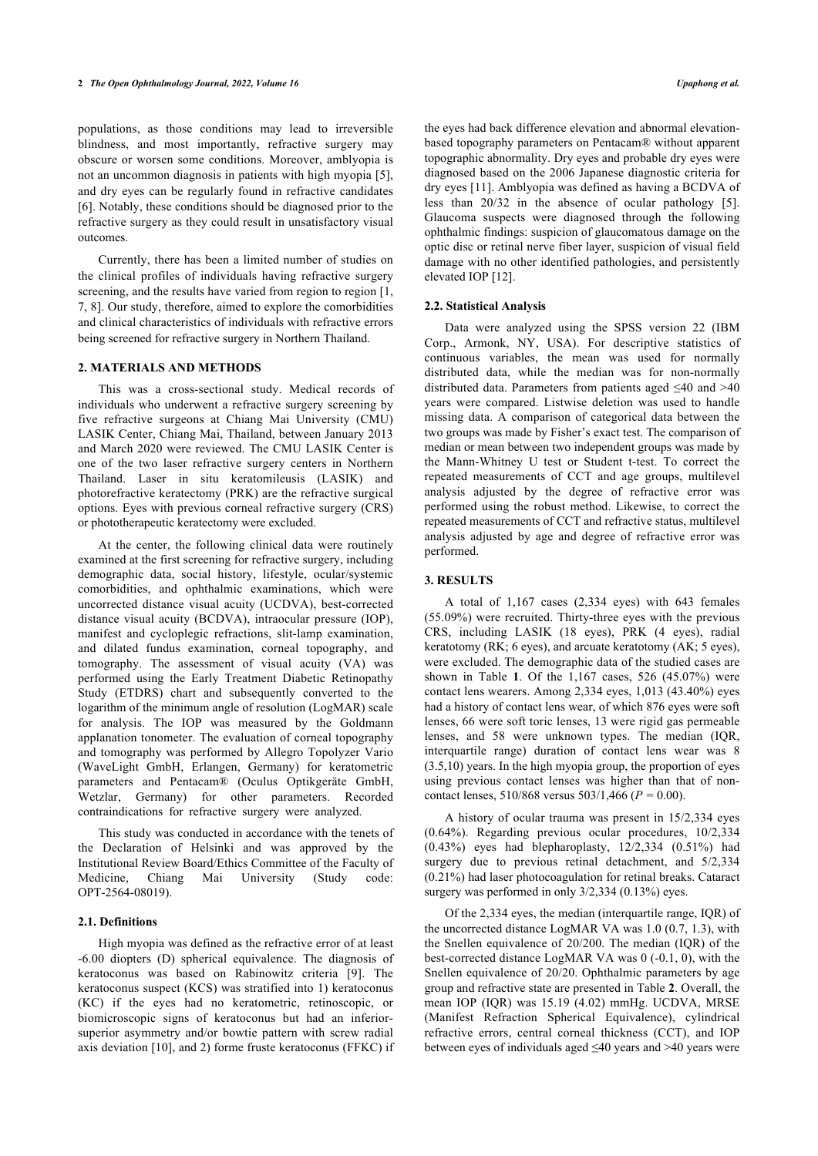populations, as those conditions may lead to irreversible blindness, and most importantly, refractive surgery may obscure or worsen some conditions. Moreover, amblyopia is not an uncommon diagnosis in patients with high myopia [\[5\]](#page-6-3), and dry eyes can be regularly found in refractive candidates [[6](#page-7-0)]. Notably, these conditions should be diagnosed prior to the refractive surgery as they could result in unsatisfactory visual outcomes.

Currently, there has been a limited number of studies on the clinical profiles of individuals having refractive surgery screening, and the results have varied from region to region [[1](#page-6-0), [7](#page-7-1), [8\]](#page-7-2). Our study, therefore, aimed to explore the comorbidities and clinical characteristics of individuals with refractive errors being screened for refractive surgery in Northern Thailand.

# **2. MATERIALS AND METHODS**

This was a cross-sectional study. Medical records of individuals who underwent a refractive surgery screening by five refractive surgeons at Chiang Mai University (CMU) LASIK Center, Chiang Mai, Thailand, between January 2013 and March 2020 were reviewed. The CMU LASIK Center is one of the two laser refractive surgery centers in Northern Thailand. Laser in situ keratomileusis (LASIK) and photorefractive keratectomy (PRK) are the refractive surgical options. Eyes with previous corneal refractive surgery (CRS) or phototherapeutic keratectomy were excluded.

At the center, the following clinical data were routinely examined at the first screening for refractive surgery, including demographic data, social history, lifestyle, ocular/systemic comorbidities, and ophthalmic examinations, which were uncorrected distance visual acuity (UCDVA), best-corrected distance visual acuity (BCDVA), intraocular pressure (IOP), manifest and cycloplegic refractions, slit-lamp examination, and dilated fundus examination, corneal topography, and tomography. The assessment of visual acuity (VA) was performed using the Early Treatment Diabetic Retinopathy Study (ETDRS) chart and subsequently converted to the logarithm of the minimum angle of resolution (LogMAR) scale for analysis. The IOP was measured by the Goldmann applanation tonometer. The evaluation of corneal topography and tomography was performed by Allegro Topolyzer Vario (WaveLight GmbH, Erlangen, Germany) for keratometric parameters and Pentacam® (Oculus Optikgeräte GmbH, Wetzlar, Germany) for other parameters. Recorded contraindications for refractive surgery were analyzed.

This study was conducted in accordance with the tenets of the Declaration of Helsinki and was approved by the Institutional Review Board/Ethics Committee of the Faculty of Medicine, Chiang Mai University (Study code: OPT-2564-08019).

#### **2.1. Definitions**

High myopia was defined as the refractive error of at least -6.00 diopters (D) spherical equivalence. The diagnosis of keratoconus was based on Rabinowitz criteria[[9](#page-7-3)]. The keratoconus suspect (KCS) was stratified into 1) keratoconus (KC) if the eyes had no keratometric, retinoscopic, or biomicroscopic signs of keratoconus but had an inferiorsuperior asymmetry and/or bowtie pattern with screw radial axis deviation [\[10](#page-7-4)], and 2) forme fruste keratoconus (FFKC) if

the eyes had back difference elevation and abnormal elevationbased topography parameters on Pentacam® without apparent topographic abnormality. Dry eyes and probable dry eyes were diagnosed based on the 2006 Japanese diagnostic criteria for dry eyes [\[11\]](#page-7-5). Amblyopia was defined as having a BCDVA of less than 20/32 in the absence of ocular pathology[[5](#page-6-3)]. Glaucoma suspects were diagnosed through the following ophthalmic findings: suspicion of glaucomatous damage on the optic disc or retinal nerve fiber layer, suspicion of visual field damage with no other identified pathologies, and persistently elevated IOP [[12\]](#page-7-6).

#### **2.2. Statistical Analysis**

Data were analyzed using the SPSS version 22 (IBM Corp., Armonk, NY, USA). For descriptive statistics of continuous variables, the mean was used for normally distributed data, while the median was for non-normally distributed data. Parameters from patients aged  $\leq 40$  and  $>40$ years were compared. Listwise deletion was used to handle missing data. A comparison of categorical data between the two groups was made by Fisher's exact test. The comparison of median or mean between two independent groups was made by the Mann-Whitney U test or Student t-test. To correct the repeated measurements of CCT and age groups, multilevel analysis adjusted by the degree of refractive error was performed using the robust method. Likewise, to correct the repeated measurements of CCT and refractive status, multilevel analysis adjusted by age and degree of refractive error was performed.

# **3. RESULTS**

A total of 1,167 cases (2,334 eyes) with 643 females (55.09%) were recruited. Thirty-three eyes with the previous CRS, including LASIK (18 eyes), PRK (4 eyes), radial keratotomy (RK; 6 eyes), and arcuate keratotomy (AK; 5 eyes), were excluded. The demographic data of the studied cases are shown in Table**1**. Of the 1,167 cases, 526 (45.07%) were contact lens wearers. Among 2,334 eyes, 1,013 (43.40%) eyes had a history of contact lens wear, of which 876 eyes were soft lenses, 66 were soft toric lenses, 13 were rigid gas permeable lenses, and 58 were unknown types. The median (IQR, interquartile range) duration of contact lens wear was 8 (3.5,10) years. In the high myopia group, the proportion of eyes using previous contact lenses was higher than that of noncontact lenses, 510/868 versus 503/1,466 (*P =* 0.00).

A history of ocular trauma was present in 15/2,334 eyes (0.64%). Regarding previous ocular procedures, 10/2,334 (0.43%) eyes had blepharoplasty, 12/2,334 (0.51%) had surgery due to previous retinal detachment, and  $5/2,334$ (0.21%) had laser photocoagulation for retinal breaks. Cataract surgery was performed in only 3/2,334 (0.13%) eyes.

Of the 2,334 eyes, the median (interquartile range, IQR) of the uncorrected distance LogMAR VA was 1.0 (0.7, 1.3), with the Snellen equivalence of 20/200. The median (IQR) of the best-corrected distance LogMAR VA was 0 (-0.1, 0), with the Snellen equivalence of 20/20. Ophthalmic parameters by age group and refractive state are presented in Table **[2](#page-2-1)**. Overall, the mean IOP (IQR) was 15.19 (4.02) mmHg. UCDVA, MRSE (Manifest Refraction Spherical Equivalence), cylindrical refractive errors, central corneal thickness (CCT), and IOP between eyes of individuals aged ≤40 years and >40 years were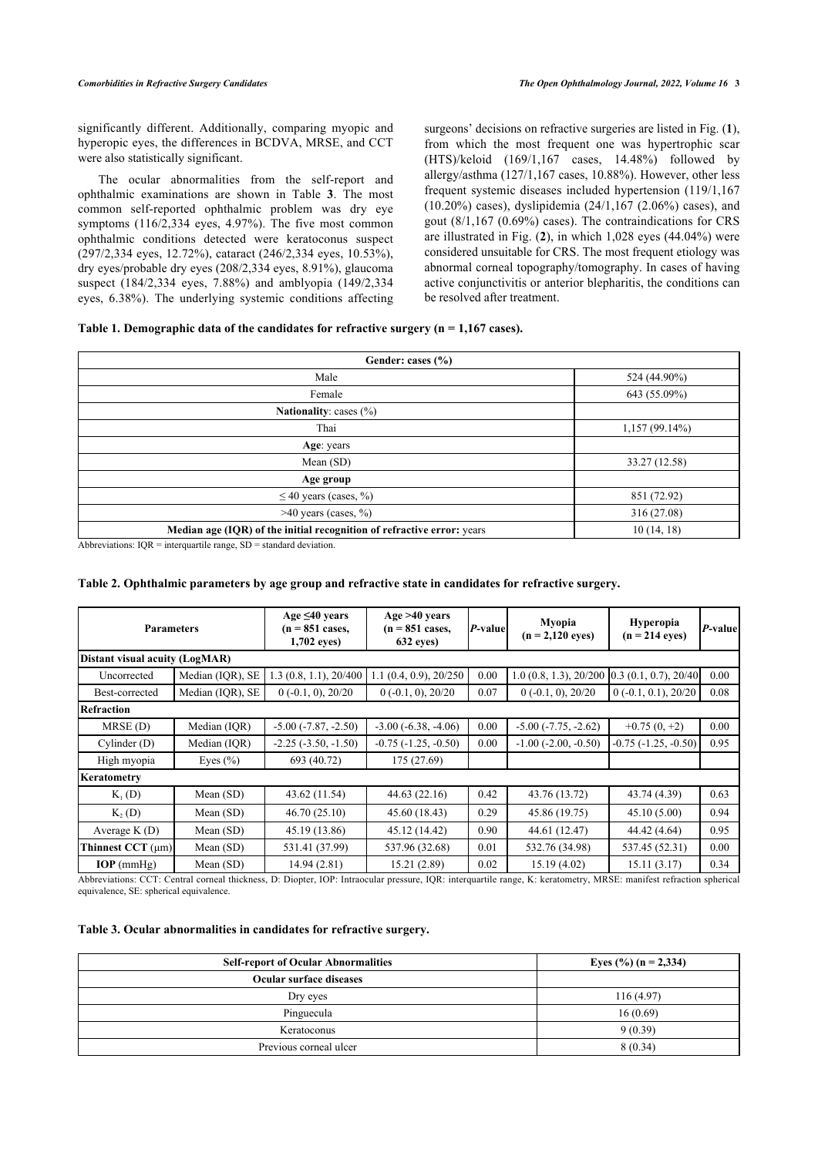significantly different. Additionally, comparing myopic and hyperopic eyes, the differences in BCDVA, MRSE, and CCT were also statistically significant.

The ocular abnormalities from the self-report and ophthalmic examinations are shown in Table**3**. The most common self-reported ophthalmic problem was dry eye symptoms (116/2,334 eyes, 4.97%). The five most common ophthalmic conditions detected were keratoconus suspect (297/2,334 eyes, 12.72%), cataract (246/2,334 eyes, 10.53%), dry eyes/probable dry eyes (208/2,334 eyes, 8.91%), glaucoma suspect (184/2,334 eyes, 7.88%) and amblyopia (149/2,334 eyes, 6.38%). The underlying systemic conditions affecting

surgeons' decisions on refractive surgeries are listed in Fig. (**[1](#page-4-0)**), from which the most frequent one was hypertrophic scar (HTS)/keloid (169/1,167 cases, 14.48%) followed by allergy/asthma (127/1,167 cases, 10.88%). However, other less frequent systemic diseases included hypertension (119/1,167 (10.20%) cases), dyslipidemia (24/1,167 (2.06%) cases), and gout (8/1,167 (0.69%) cases). The contraindications for CRS are illustrated in Fig. (**[2](#page-4-1)**), in which 1,028 eyes (44.04%) were considered unsuitable for CRS. The most frequent etiology was abnormal corneal topography/tomography. In cases of having active conjunctivitis or anterior blepharitis, the conditions can be resolved after treatment.

# <span id="page-2-0"></span>**Table 1. Demographic data of the candidates for refractive surgery (n = 1,167 cases).**

| Gender: cases (%)                                                      |                  |  |  |
|------------------------------------------------------------------------|------------------|--|--|
| Male                                                                   | 524 (44.90%)     |  |  |
| Female                                                                 | 643 (55.09%)     |  |  |
| <b>Nationality:</b> cases $(\%)$                                       |                  |  |  |
| Thai                                                                   | $1,157(99.14\%)$ |  |  |
| Age: years                                                             |                  |  |  |
| Mean (SD)                                                              | 33.27 (12.58)    |  |  |
| Age group                                                              |                  |  |  |
| $\leq$ 40 years (cases, %)                                             | 851 (72.92)      |  |  |
| $>40$ years (cases, %)                                                 | 316 (27.08)      |  |  |
| Median age (IQR) of the initial recognition of refractive error: years | 10(14, 18)       |  |  |

Abbreviations: IQR = interquartile range, SD = standard deviation.

# <span id="page-2-1"></span>**Table 2. Ophthalmic parameters by age group and refractive state in candidates for refractive surgery.**

| <b>Parameters</b>              |                  | Age $\leq 40$ years<br>$(n = 851 \text{ cases},$<br>1,702 eyes) | Age > 40 years<br>$(n = 851 \text{ cases})$<br>632 eyes) | P-value | Myopia<br>$(n = 2,120$ eyes)                     | <b>Hyperopia</b><br>$(n = 214$ eves) | P-value |
|--------------------------------|------------------|-----------------------------------------------------------------|----------------------------------------------------------|---------|--------------------------------------------------|--------------------------------------|---------|
| Distant visual acuity (LogMAR) |                  |                                                                 |                                                          |         |                                                  |                                      |         |
| Uncorrected                    | Median (IQR), SE | 1.3(0.8, 1.1), 20/400                                           | $1.1$ (0.4, 0.9), 20/250                                 | 0.00    | 1.0 (0.8, 1.3), $20/200$ 0.3 (0.1, 0.7), $20/40$ |                                      | 0.00    |
| Best-corrected                 | Median (IQR), SE | $0(-0.1, 0)$ , $20/20$                                          | $0(-0.1, 0)$ , $20/20$                                   | 0.07    | $0(-0.1, 0)$ , $20/20$                           | $0(-0.1, 0.1), 20/20$                | 0.08    |
| Refraction                     |                  |                                                                 |                                                          |         |                                                  |                                      |         |
| $MRSE$ (D)                     | Median (IQR)     | $-5.00$ $(-7.87, -2.50)$                                        | $-3.00$ $(-6.38, -4.06)$                                 | 0.00    | $-5.00$ $(-7.75, -2.62)$                         | $+0.75(0, +2)$                       | 0.00    |
| Cylinder $(D)$                 | Median (IQR)     | $-2.25$ $(-3.50, -1.50)$                                        | $-0.75$ $(-1.25, -0.50)$                                 | 0.00    | $-1.00$ $(-2.00, -0.50)$                         | $-0.75$ $(-1.25, -0.50)$             | 0.95    |
| High myopia                    | Eyes $(\% )$     | 693 (40.72)                                                     | 175 (27.69)                                              |         |                                                  |                                      |         |
| Keratometry                    |                  |                                                                 |                                                          |         |                                                  |                                      |         |
| $K_1(D)$                       | Mean $(SD)$      | 43.62 (11.54)                                                   | 44.63(22.16)                                             | 0.42    | 43.76 (13.72)                                    | 43.74 (4.39)                         | 0.63    |
| K <sub>2</sub> (D)             | Mean $(SD)$      | 46.70(25.10)                                                    | 45.60 (18.43)                                            | 0.29    | 45.86 (19.75)                                    | 45.10(5.00)                          | 0.94    |
| Average $K(D)$                 | Mean $(SD)$      | 45.19 (13.86)                                                   | 45.12 (14.42)                                            | 0.90    | 44.61 (12.47)                                    | 44.42 (4.64)                         | 0.95    |
| Thinnest CCT $(\mu m)$         | Mean $(SD)$      | 531.41 (37.99)                                                  | 537.96 (32.68)                                           | 0.01    | 532.76 (34.98)                                   | 537.45 (52.31)                       | 0.00    |
| $IOP$ (mmHg)                   | Mean $(SD)$      | 14.94 (2.81)                                                    | 15.21 (2.89)                                             | 0.02    | 15.19 (4.02)                                     | 15.11(3.17)                          | 0.34    |

Abbreviations: CCT: Central corneal thickness, D: Diopter, IOP: Intraocular pressure, IQR: interquartile range, K: keratometry, MRSE: manifest refraction spherical equivalence, SE: spherical equivalence.

### <span id="page-2-2"></span>**Table 3. Ocular abnormalities in candidates for refractive surgery.**

| <b>Self-report of Ocular Abnormalities</b> | Eyes $(\%)(n = 2,334)$ |  |
|--------------------------------------------|------------------------|--|
| Ocular surface diseases                    |                        |  |
| Dry eyes                                   | 116(4.97)              |  |
| Pinguecula                                 | 16(0.69)               |  |
| Keratoconus                                | 9(0.39)                |  |
| Previous corneal ulcer                     | 8(0.34)                |  |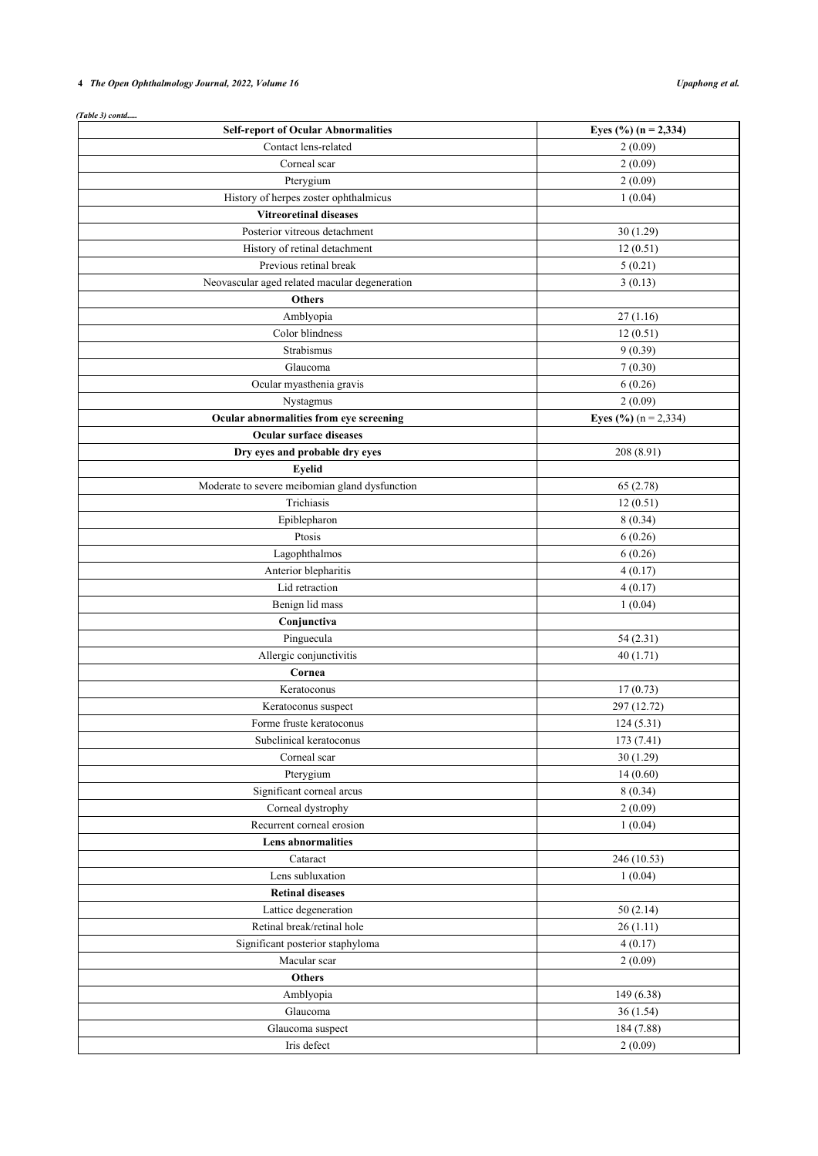# **4** *The Open Ophthalmology Journal, 2022, Volume 16 Upaphong et al.*

| (Table 3) contd<br><b>Self-report of Ocular Abnormalities</b> | Eyes $(\frac{6}{6})$ (n = 2,334) |
|---------------------------------------------------------------|----------------------------------|
| Contact lens-related                                          | 2(0.09)                          |
|                                                               |                                  |
| Corneal scar                                                  | 2(0.09)                          |
| Pterygium                                                     | 2(0.09)                          |
| History of herpes zoster ophthalmicus                         | 1(0.04)                          |
| <b>Vitreoretinal diseases</b>                                 |                                  |
| Posterior vitreous detachment                                 | 30(1.29)                         |
| History of retinal detachment                                 | 12(0.51)                         |
| Previous retinal break                                        | 5(0.21)                          |
| Neovascular aged related macular degeneration                 | 3(0.13)                          |
| <b>Others</b>                                                 |                                  |
| Amblyopia                                                     | 27(1.16)                         |
| Color blindness                                               | 12(0.51)                         |
| Strabismus                                                    | 9(0.39)                          |
| Glaucoma                                                      | 7(0.30)                          |
| Ocular myasthenia gravis                                      | 6(0.26)                          |
| Nystagmus                                                     | 2(0.09)                          |
| Ocular abnormalities from eye screening                       | <b>Eyes</b> (%) $(n = 2,334)$    |
| Ocular surface diseases                                       |                                  |
| Dry eyes and probable dry eyes                                | 208 (8.91)                       |
| <b>Eyelid</b>                                                 |                                  |
| Moderate to severe meibomian gland dysfunction                | 65(2.78)                         |
| Trichiasis                                                    | 12(0.51)                         |
| Epiblepharon                                                  | 8(0.34)                          |
| Ptosis                                                        | 6(0.26)                          |
| Lagophthalmos                                                 | 6(0.26)                          |
| Anterior blepharitis                                          | 4(0.17)                          |
| Lid retraction                                                | 4(0.17)                          |
| Benign lid mass                                               | 1(0.04)                          |
| Conjunctiva                                                   |                                  |
| Pinguecula                                                    | 54 (2.31)                        |
| Allergic conjunctivitis                                       | 40(1.71)                         |
| Cornea                                                        |                                  |
| Keratoconus                                                   | 17(0.73)                         |
| Keratoconus suspect                                           | 297 (12.72)                      |
| Forme fruste keratoconus                                      | 124(5.31)                        |
| Subclinical keratoconus                                       | 173 (7.41)                       |
| Corneal scar                                                  | 30(1.29)                         |
|                                                               | 14(0.60)                         |
| Pterygium<br>Significant corneal arcus                        |                                  |
|                                                               | 8(0.34)                          |
| Corneal dystrophy                                             | 2(0.09)                          |
| Recurrent corneal erosion                                     | 1(0.04)                          |
| <b>Lens abnormalities</b>                                     |                                  |
| Cataract                                                      | 246 (10.53)                      |
| Lens subluxation                                              | 1(0.04)                          |
| <b>Retinal diseases</b>                                       |                                  |
| Lattice degeneration                                          | 50(2.14)                         |
| Retinal break/retinal hole                                    | 26(1.11)                         |
| Significant posterior staphyloma                              | 4(0.17)                          |
| Macular scar                                                  | 2(0.09)                          |
| <b>Others</b>                                                 |                                  |
| Amblyopia                                                     | 149 (6.38)                       |
| Glaucoma                                                      | 36(1.54)                         |
| Glaucoma suspect                                              | 184 (7.88)                       |
| Iris defect                                                   | 2(0.09)                          |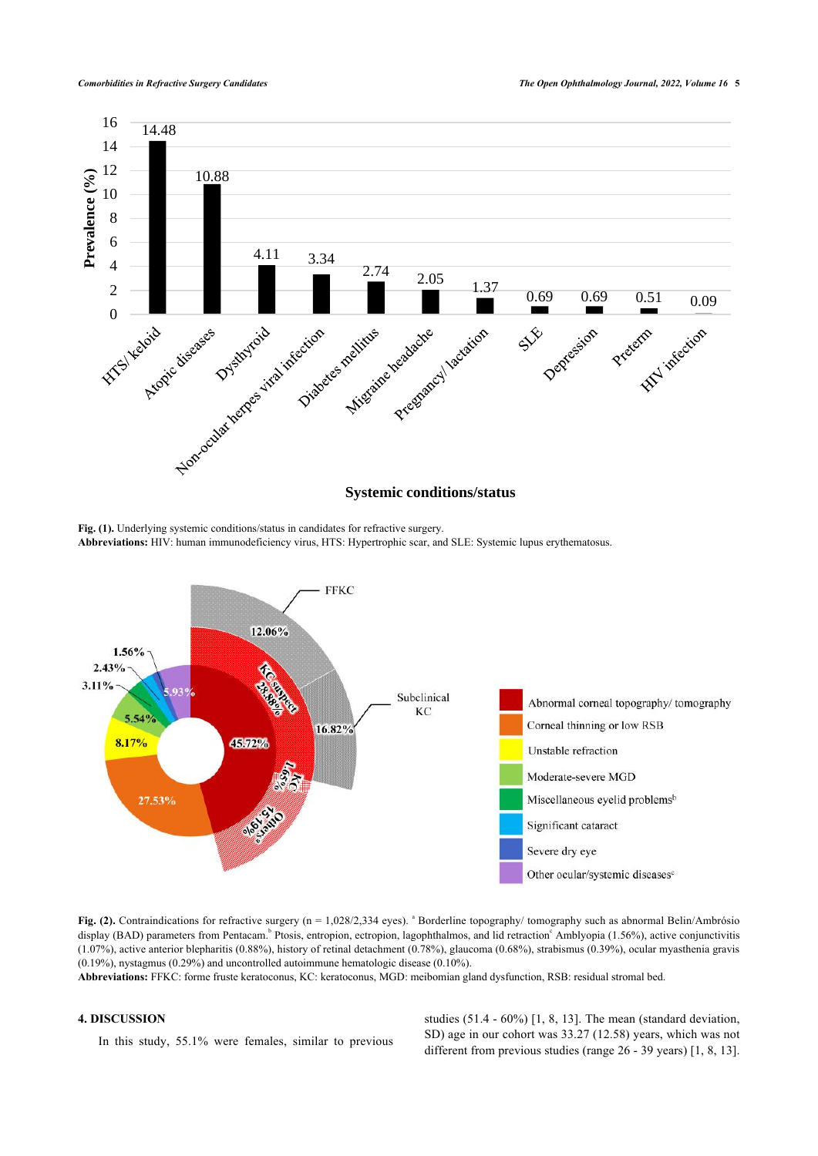<span id="page-4-0"></span>

Fig. (1). Underlying systemic conditions/status in candidates for refractive surgery. **Abbreviations:** HIV: human immunodeficiency virus, HTS: Hypertrophic scar, and SLE: Systemic lupus erythematosus.

<span id="page-4-1"></span>

Fig. (2). Contraindications for refractive surgery (n = 1,028/2,334 eyes). <sup>a</sup> Borderline topography/ tomography such as abnormal Belin/Ambrósio display (BAD) parameters from Pentacam.<sup>b</sup> Ptosis, entropion, ectropion, lagophthalmos, and lid retraction<sup>c</sup> Amblyopia (1.56%), active conjunctivitis (1.07%), active anterior blepharitis (0.88%), history of retinal detachment (0.78%), glaucoma (0.68%), strabismus (0.39%), ocular myasthenia gravis (0.19%), nystagmus (0.29%) and uncontrolled autoimmune hematologic disease (0.10%).

**Abbreviations:** FFKC: forme fruste keratoconus, KC: keratoconus, MGD: meibomian gland dysfunction, RSB: residual stromal bed.

# **4. DISCUSSION**

In this study, 55.1% were females, similar to previous

studies (51.4 - 60%) [[1,](#page-6-0) [8](#page-7-2), [13](#page-7-7)]. The mean (standard deviation, SD) age in our cohort was 33.27 (12.58) years, which was not different from previous studies (range 26 - 39 years) [[1](#page-6-0), [8,](#page-7-2) [13](#page-7-7)].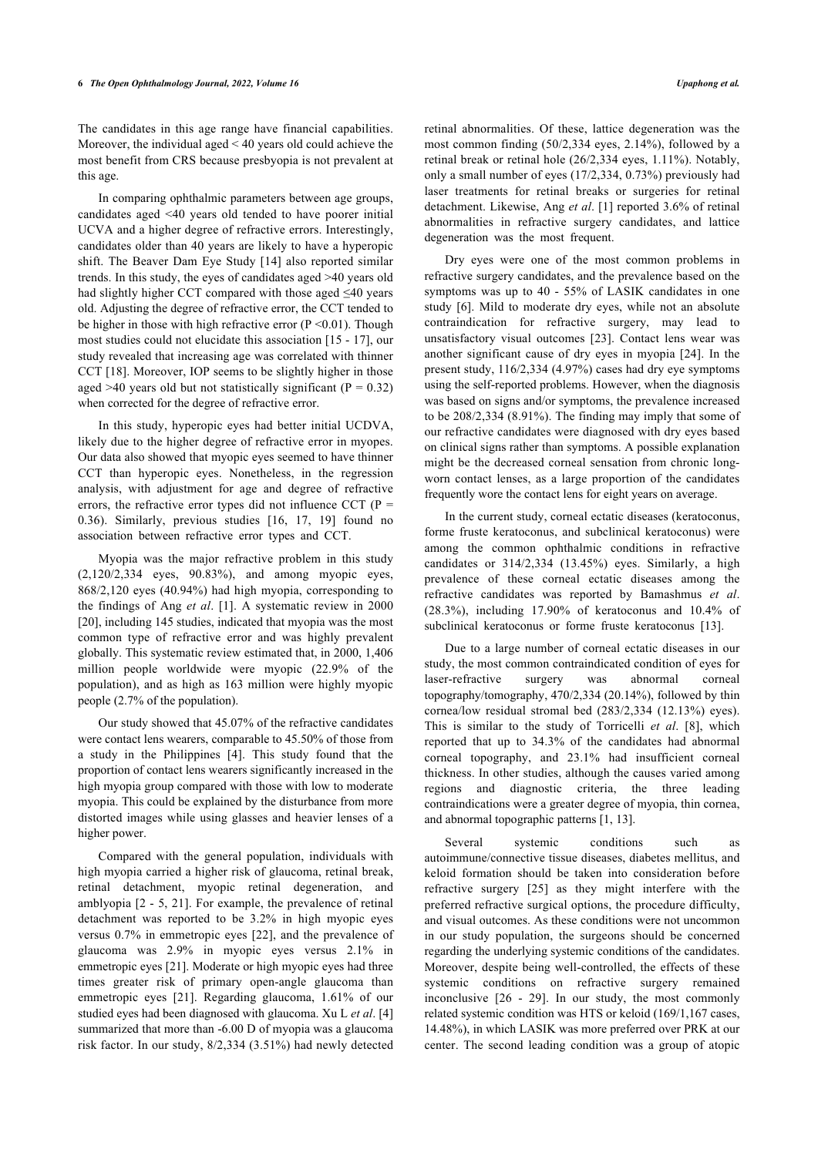The candidates in this age range have financial capabilities. Moreover, the individual aged < 40 years old could achieve the most benefit from CRS because presbyopia is not prevalent at this age.

In comparing ophthalmic parameters between age groups, candidates aged <40 years old tended to have poorer initial UCVA and a higher degree of refractive errors. Interestingly, candidates older than 40 years are likely to have a hyperopic shift. The Beaver Dam Eye Study [[14\]](#page-7-8) also reported similar trends. In this study, the eyes of candidates aged >40 years old had slightly higher CCT compared with those aged ≤40 years old. Adjusting the degree of refractive error, the CCT tended to be higher in those with high refractive error  $(P \le 0.01)$ . Though most studies could not elucidate this association [[15](#page-7-9) - [17](#page-7-10)], our study revealed that increasing age was correlated with thinner CCT [[18](#page-7-11)]. Moreover, IOP seems to be slightly higher in those aged >40 years old but not statistically significant ( $P = 0.32$ ) when corrected for the degree of refractive error.

In this study, hyperopic eyes had better initial UCDVA, likely due to the higher degree of refractive error in myopes. Our data also showed that myopic eyes seemed to have thinner CCT than hyperopic eyes. Nonetheless, in the regression analysis, with adjustment for age and degree of refractive errors, the refractive error types did not influence CCT ( $P =$ 0.36). Similarly, previous studies[[16](#page-7-12), [17](#page-7-10), [19](#page-7-13)] found no association between refractive error types and CCT.

Myopia was the major refractive problem in this study (2,120/2,334 eyes, 90.83%), and among myopic eyes, 868/2,120 eyes (40.94%) had high myopia, corresponding to the findings of Ang *et al*. [\[1\]](#page-6-0). A systematic review in 2000 [[20\]](#page-7-14), including 145 studies, indicated that myopia was the most common type of refractive error and was highly prevalent globally. This systematic review estimated that, in 2000, 1,406 million people worldwide were myopic (22.9% of the population), and as high as 163 million were highly myopic people (2.7% of the population).

Our study showed that 45.07% of the refractive candidates were contact lens wearers, comparable to 45.50% of those from a study in the Philippines[[4](#page-6-2)]. This study found that the proportion of contact lens wearers significantly increased in the high myopia group compared with those with low to moderate myopia. This could be explained by the disturbance from more distorted images while using glasses and heavier lenses of a higher power.

Compared with the general population, individuals with high myopia carried a higher risk of glaucoma, retinal break, retinal detachment, myopic retinal degeneration, and amblyopia [[2](#page-6-1) - [5,](#page-6-3) [21](#page-7-15)]. For example, the prevalence of retinal detachment was reported to be 3.2% in high myopic eyes versus 0.7% in emmetropic eyes [\[22\]](#page-7-16), and the prevalence of glaucoma was 2.9% in myopic eyes versus 2.1% in emmetropic eyes [\[21\]](#page-7-15). Moderate or high myopic eyes had three times greater risk of primary open-angle glaucoma than emmetropic eyes [\[21](#page-7-15)]. Regarding glaucoma, 1.61% of our studied eyes had been diagnosed with glaucoma. Xu L *et al*. [[4](#page-6-2)] summarized that more than -6.00 D of myopia was a glaucoma risk factor. In our study, 8/2,334 (3.51%) had newly detected retinal abnormalities. Of these, lattice degeneration was the most common finding (50/2,334 eyes, 2.14%), followed by a retinal break or retinal hole (26/2,334 eyes, 1.11%). Notably, only a small number of eyes (17/2,334, 0.73%) previously had laser treatments for retinal breaks or surgeries for retinal detachment. Likewise, Ang *et al*. [[1](#page-6-0)] reported 3.6% of retinal abnormalities in refractive surgery candidates, and lattice degeneration was the most frequent.

Dry eyes were one of the most common problems in refractive surgery candidates, and the prevalence based on the symptoms was up to 40 - 55% of LASIK candidates in one study [[6](#page-7-0)]. Mild to moderate dry eyes, while not an absolute contraindication for refractive surgery, may lead to unsatisfactory visual outcomes[[23](#page-7-17)]. Contact lens wear was another significant cause of dry eyes in myopia [\[24](#page-7-18)]. In the present study, 116/2,334 (4.97%) cases had dry eye symptoms using the self-reported problems. However, when the diagnosis was based on signs and/or symptoms, the prevalence increased to be 208/2,334 (8.91%). The finding may imply that some of our refractive candidates were diagnosed with dry eyes based on clinical signs rather than symptoms. A possible explanation might be the decreased corneal sensation from chronic longworn contact lenses, as a large proportion of the candidates frequently wore the contact lens for eight years on average.

In the current study, corneal ectatic diseases (keratoconus, forme fruste keratoconus, and subclinical keratoconus) were among the common ophthalmic conditions in refractive candidates or 314/2,334 (13.45%) eyes. Similarly, a high prevalence of these corneal ectatic diseases among the refractive candidates was reported by Bamashmus *et al*. (28.3%), including 17.90% of keratoconus and 10.4% of subclinical keratoconus or forme fruste keratoconus[[13\]](#page-7-7).

Due to a large number of corneal ectatic diseases in our study, the most common contraindicated condition of eyes for laser-refractive surgery was abnormal corneal topography/tomography, 470/2,334 (20.14%), followed by thin cornea/low residual stromal bed (283/2,334 (12.13%) eyes). This is similar to the study of Torricelli *et al*.[[8](#page-7-2)], which reported that up to 34.3% of the candidates had abnormal corneal topography, and 23.1% had insufficient corneal thickness. In other studies, although the causes varied among regions and diagnostic criteria, the three leading contraindications were a greater degree of myopia, thin cornea, and abnormal topographic patterns [\[1,](#page-6-0) [13](#page-7-7)].

Several systemic conditions such as autoimmune/connective tissue diseases, diabetes mellitus, and keloid formation should be taken into consideration before refractive surgery[[25](#page-7-19)] as they might interfere with the preferred refractive surgical options, the procedure difficulty, and visual outcomes. As these conditions were not uncommon in our study population, the surgeons should be concerned regarding the underlying systemic conditions of the candidates. Moreover, despite being well-controlled, the effects of these systemic conditions on refractive surgery remained inconclusive [\[26](#page-7-0) - [29](#page-7-20)]. In our study, the most commonly related systemic condition was HTS or keloid (169/1,167 cases, 14.48%), in which LASIK was more preferred over PRK at our center. The second leading condition was a group of atopic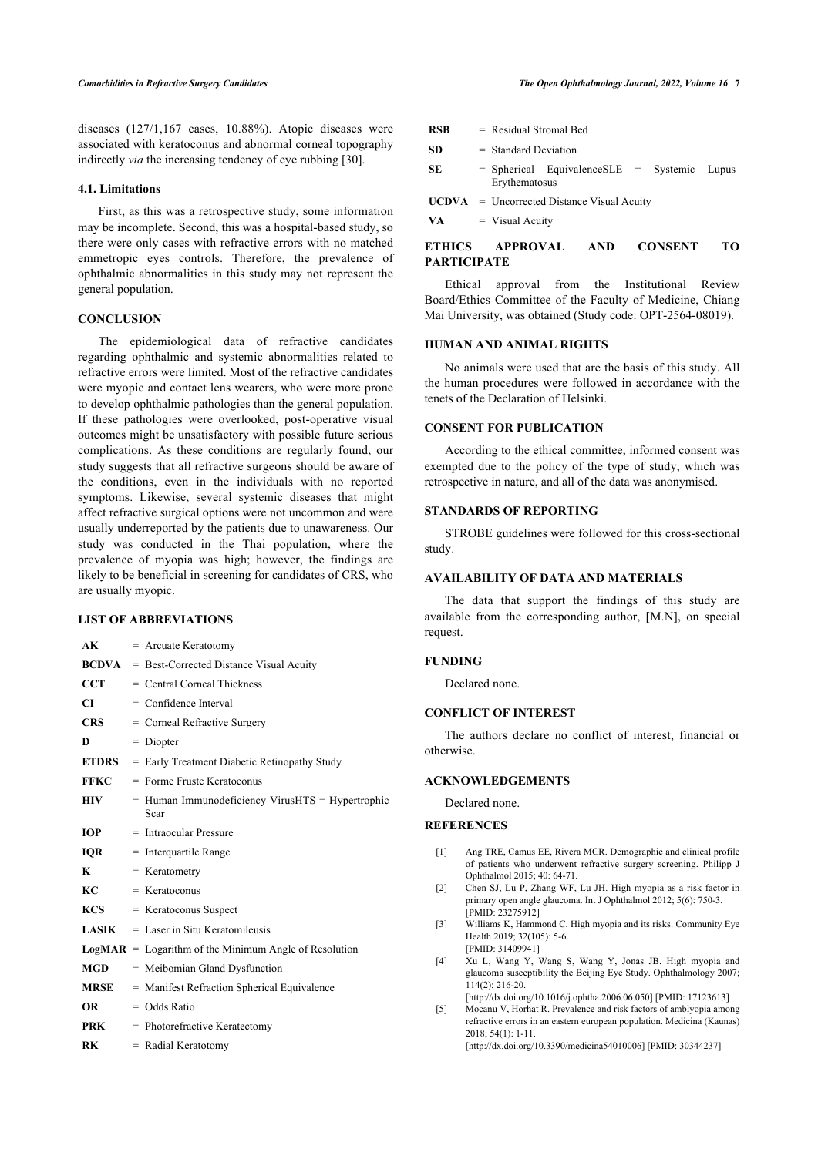diseases (127/1,167 cases, 10.88%). Atopic diseases were associated with keratoconus and abnormal corneal topography indirectly *via* the increasing tendency of eye rubbing [[30\]](#page-7-21).

# **4.1. Limitations**

First, as this was a retrospective study, some information may be incomplete. Second, this was a hospital-based study, so there were only cases with refractive errors with no matched emmetropic eyes controls. Therefore, the prevalence of ophthalmic abnormalities in this study may not represent the general population.

#### **CONCLUSION**

The epidemiological data of refractive candidates regarding ophthalmic and systemic abnormalities related to refractive errors were limited. Most of the refractive candidates were myopic and contact lens wearers, who were more prone to develop ophthalmic pathologies than the general population. If these pathologies were overlooked, post-operative visual outcomes might be unsatisfactory with possible future serious complications. As these conditions are regularly found, our study suggests that all refractive surgeons should be aware of the conditions, even in the individuals with no reported symptoms. Likewise, several systemic diseases that might affect refractive surgical options were not uncommon and were usually underreported by the patients due to unawareness. Our study was conducted in the Thai population, where the prevalence of myopia was high; however, the findings are likely to be beneficial in screening for candidates of CRS, who are usually myopic.

#### **LIST OF ABBREVIATIONS**

<span id="page-6-3"></span><span id="page-6-2"></span><span id="page-6-1"></span><span id="page-6-0"></span>

| AK           | = Arcuate Keratotomy                                     |
|--------------|----------------------------------------------------------|
| <b>BCDVA</b> | = Best-Corrected Distance Visual Acuity                  |
| <b>CCT</b>   | $=$ Central Corneal Thickness                            |
| CI           | $=$ Confidence Interval                                  |
| <b>CRS</b>   | = Corneal Refractive Surgery                             |
| D            | $= Diopter$                                              |
| <b>ETDRS</b> | = Early Treatment Diabetic Retinopathy Study             |
| <b>FFKC</b>  | $=$ Forme Fruste Keratoconus                             |
| <b>HIV</b>   | = Human Immunodeficiency VirusHTS = Hypertrophic<br>Scar |
| <b>IOP</b>   | $=$ Intraocular Pressure                                 |
| <b>IOR</b>   | $=$ Interquartile Range                                  |
| K            | $=$ Keratometry                                          |
| KC           | $=$ Keratoconus                                          |
| <b>KCS</b>   | $=$ Keratoconus Suspect                                  |
| <b>LASIK</b> | $=$ Laser in Situ Keratomileusis                         |
|              | $LogMAR = Logarithm of the Minimum Angle of Resolution$  |
| <b>MGD</b>   | = Meibomian Gland Dysfunction                            |
| <b>MRSE</b>  | = Manifest Refraction Spherical Equivalence              |
| OR.          | $=$ Odds Ratio                                           |
| PRK          | $=$ Photorefractive Keratectomy                          |
| RK           | = Radial Keratotomy                                      |

| <b>RSB</b> | Residual Stromal Bed |  |
|------------|----------------------|--|
|            |                      |  |

$$
SD = Standard Deviation
$$

**SE** = Spherical EquivalenceSLE = Systemic Lupus Erythematosus

**UCDVA** = Uncorrected Distance Visual Acuity

 $\mathbf{VA} = \mathbf{Visual}$  Acuity

# **ETHICS APPROVAL AND CONSENT TO PARTICIPATE**

Ethical approval from the Institutional Review Board/Ethics Committee of the Faculty of Medicine, Chiang Mai University, was obtained (Study code: OPT-2564-08019).

# **HUMAN AND ANIMAL RIGHTS**

No animals were used that are the basis of this study. All the human procedures were followed in accordance with the tenets of the Declaration of Helsinki.

# **CONSENT FOR PUBLICATION**

According to the ethical committee, informed consent was exempted due to the policy of the type of study, which was retrospective in nature, and all of the data was anonymised.

# **STANDARDS OF REPORTING**

STROBE guidelines were followed for this cross-sectional study.

# **AVAILABILITY OF DATA AND MATERIALS**

The data that support the findings of this study are available from the corresponding author, [M.N], on special request.

#### **FUNDING**

Declared none.

#### **CONFLICT OF INTEREST**

The authors declare no conflict of interest, financial or otherwise.

# **ACKNOWLEDGEMENTS**

Declared none.

#### **REFERENCES**

- [1] Ang TRE, Camus EE, Rivera MCR. Demographic and clinical profile of patients who underwent refractive surgery screening. Philipp J Ophthalmol 2015; 40: 64-71.
- [2] Chen SJ, Lu P, Zhang WF, Lu JH. High myopia as a risk factor in primary open angle glaucoma. Int J Ophthalmol 2012; 5(6): 750-3. [PMID: [23275912\]](http://www.ncbi.nlm.nih.gov/pubmed/23275912)
- [3] Williams K, Hammond C. High myopia and its risks. Community Eye Health 2019; 32(105): 5-6. [PMID: [31409941\]](http://www.ncbi.nlm.nih.gov/pubmed/31409941)
- [4] Xu L, Wang Y, Wang S, Wang Y, Jonas JB. High myopia and glaucoma susceptibility the Beijing Eye Study. Ophthalmology 2007; 114(2): 216-20.

[\[http://dx.doi.org/10.1016/j.ophtha.2006.06.050\]](http://dx.doi.org/10.1016/j.ophtha.2006.06.050) [PMID: [17123613\]](http://www.ncbi.nlm.nih.gov/pubmed/17123613)

[5] Mocanu V, Horhat R. Prevalence and risk factors of amblyopia among refractive errors in an eastern european population. Medicina (Kaunas) 2018; 54(1): 1-11.

[\[http://dx.doi.org/10.3390/medicina54010006](http://dx.doi.org/10.3390/medicina54010006)] [PMID: [30344237\]](http://www.ncbi.nlm.nih.gov/pubmed/30344237)